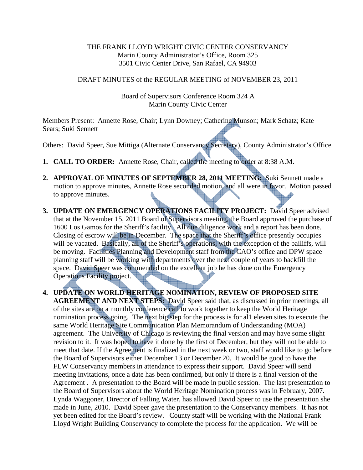### THE FRANK LLOYD WRIGHT CIVIC CENTER CONSERVANCY Marin County Administrator's Office, Room 325 3501 Civic Center Drive, San Rafael, CA 94903

### DRAFT MINUTES of the REGULAR MEETING of NOVEMBER 23, 2011

### Board of Supervisors Conference Room 324 A Marin County Civic Center

Members Present: Annette Rose, Chair; Lynn Downey; Catherine Munson; Mark Schatz; Kate Sears; Suki Sennett

Others: David Speer, Sue Mittiga (Alternate Conservancy Secretary), County Administrator's Office

- **1. CALL TO ORDER:** Annette Rose, Chair, called the meeting to order at 8:38 A.M.
- **2. APPROVAL OF MINUTES OF SEPTEMBER 28, 2011 MEETING:** Suki Sennett made a motion to approve minutes, Annette Rose seconded motion, and all were in favor. Motion passed to approve minutes.
- **3. UPDATE ON EMERGENCY OPERATIONS FACILITY PROJECT:** David Speer advised that at the November 15, 2011 Board of Supervisors meeting, the Board approved the purchase of 1600 Los Gamos for the Sheriff's facility. All due diligence work and a report has been done. Closing of escrow will be in December. The space that the Sheriff's office presently occupies will be vacated. Basically, all of the Sheriff's operations, with the exception of the bailiffs, will be moving. Facilities Planning and Development staff from the CAO's office and DPW space planning staff will be working with departments over the next couple of years to backfill the space. David Speer was commended on the excellent job he has done on the Emergency Operations Facility project.
- **4. UPDATE ON WORLD HERITAGE NOMINATION, REVIEW OF PROPOSED SITE AGREEMENT AND NEXT STEPS:** David Speer said that, as discussed in prior meetings, all of the sites are on a monthly conference call to work together to keep the World Heritage nomination process going. The next big step for the process is for al1 eleven sites to execute the same World Heritage Site Communication Plan Memorandum of Understanding (MOA) agreement. The University of Chicago is reviewing the final version and may have some slight revision to it. It was hoped to have it done by the first of December, but they will not be able to meet that date. If the Agreement is finalized in the next week or two, staff would like to go before the Board of Supervisors either December 13 or December 20. It would be good to have the FLW Conservancy members in attendance to express their support. David Speer will send meeting invitations, once a date has been confirmed, but only if there is a final version of the Agreement . A presentation to the Board will be made in public session. The last presentation to the Board of Supervisors about the World Heritage Nomination process was in February, 2007. Lynda Waggoner, Director of Falling Water, has allowed David Speer to use the presentation she made in June, 2010. David Speer gave the presentation to the Conservancy members. It has not yet been edited for the Board's review. County staff will be working with the National Frank Lloyd Wright Building Conservancy to complete the process for the application. We will be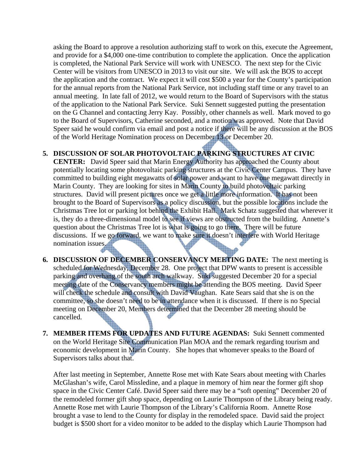asking the Board to approve a resolution authorizing staff to work on this, execute the Agreement, and provide for a \$4,000 one-time contribution to complete the application. Once the application is completed, the National Park Service will work with UNESCO. The next step for the Civic Center will be visitors from UNESCO in 2013 to visit our site. We will ask the BOS to accept the application and the contract. We expect it will cost \$500 a year for the County's participation for the annual reports from the National Park Service, not including staff time or any travel to an annual meeting. In late fall of 2012, we would return to the Board of Supervisors with the status of the application to the National Park Service. Suki Sennett suggested putting the presentation on the G Channel and contacting Jerry Kay. Possibly, other channels as well. Mark moved to go to the Board of Supervisors, Catherine seconded, and a motion was approved. Note that David Speer said he would confirm via email and post a notice if there will be any discussion at the BOS of the World Heritage Nomination process on December 13 or December 20.

# **5. DISCUSSION OF SOLAR PHOTOVOLTAIC PARKING STRUCTURES AT CIVIC**

**CENTER:** David Speer said that Marin Energy Authority has approached the County about potentially locating some photovoltaic parking structures at the Civic Center Campus. They have committed to building eight megawatts of solar power and want to have one megawatt directly in Marin County. They are looking for sites in Marin County to build photovoltaic parking structures. David will present pictures once we get a little more information. It has not been brought to the Board of Supervisors as a policy discussion, but the possible locations include the Christmas Tree lot or parking lot behind the Exhibit Hall. Mark Schatz suggested that wherever it is, they do a three-dimensional model to see if views are obstructed from the building. Annette's question about the Christmas Tree lot is what is going to go there. There will be future discussions. If we go forward, we want to make sure it doesn't interfere with World Heritage nomination issues.

- **6. DISCUSSION OF DECEMBER CONSERVANCY MEETING DATE:** The next meeting is scheduled for Wednesday, December 28. One project that DPW wants to present is accessible parking and overhang of the south arch walkway. Suki suggested December 20 for a special meeting date of the Conservancy members might be attending the BOS meeting. David Speer will check the schedule and consult with David Vaughan. Kate Sears said that she is on the committee, so she doesn't need to be in attendance when it is discussed. If there is no Special meeting on December 20, Members determined that the December 28 meeting should be cancelled.
- **7. MEMBER ITEMS FOR UPDATES AND FUTURE AGENDAS:** Suki Sennett commented on the World Heritage Site Communication Plan MOA and the remark regarding tourism and economic development in Marin County. She hopes that whomever speaks to the Board of Supervisors talks about that.

After last meeting in September, Annette Rose met with Kate Sears about meeting with Charles McGlashan's wife, Carol Missledine, and a plaque in memory of him near the former gift shop space in the Civic Center Café. David Speer said there may be a "soft opening" December 20 of the remodeled former gift shop space, depending on Laurie Thompson of the Library being ready. Annette Rose met with Laurie Thompson of the Library's California Room. Annette Rose brought a vase to lend to the County for display in the remodeled space. David said the project budget is \$500 short for a video monitor to be added to the display which Laurie Thompson had